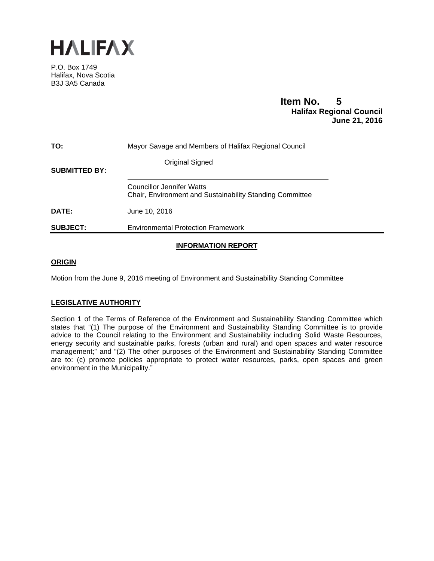

P.O. Box 1749 Halifax, Nova Scotia B3J 3A5 Canada

# **Item No. 5<br>
Halifax Regional Council June 21, 2016**

| TO:                  | Mayor Savage and Members of Halifax Regional Council                                                |
|----------------------|-----------------------------------------------------------------------------------------------------|
| <b>SUBMITTED BY:</b> | Original Signed                                                                                     |
|                      | <b>Councillor Jennifer Watts</b><br><b>Chair, Environment and Sustainability Standing Committee</b> |
| DATE:                | June 10, 2016                                                                                       |
| <b>SUBJECT:</b>      | <b>Environmental Protection Framework</b>                                                           |

## **INFORMATION REPORT**

#### **ORIGIN**

Motion from the June 9, 2016 meeting of Environment and Sustainability Standing Committee

## **LEGISLATIVE AUTHORITY**

Section 1 of the Terms of Reference of the Environment and Sustainability Standing Committee which states that "(1) The purpose of the Environment and Sustainability Standing Committee is to provide advice to the Council relating to the Environment and Sustainability including Solid Waste Resources, energy security and sustainable parks, forests (urban and rural) and open spaces and water resource management;" and "(2) The other purposes of the Environment and Sustainability Standing Committee are to: (c) promote policies appropriate to protect water resources, parks, open spaces and green environment in the Municipality."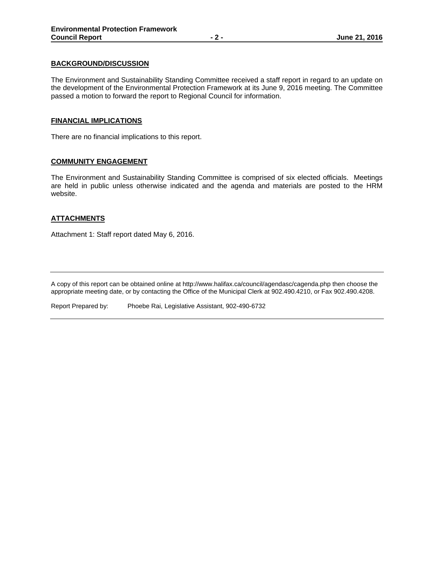#### **BACKGROUND/DISCUSSION**

The Environment and Sustainability Standing Committee received a staff report in regard to an update on the development of the Environmental Protection Framework at its June 9, 2016 meeting. The Committee passed a motion to forward the report to Regional Council for information.

#### **FINANCIAL IMPLICATIONS**

There are no financial implications to this report.

#### **COMMUNITY ENGAGEMENT**

The Environment and Sustainability Standing Committee is comprised of six elected officials. Meetings are held in public unless otherwise indicated and the agenda and materials are posted to the HRM website.

## **ATTACHMENTS**

Attachment 1: Staff report dated May 6, 2016.

A copy of this report can be obtained online at http://www.halifax.ca/council/agendasc/cagenda.php then choose the appropriate meeting date, or by contacting the Office of the Municipal Clerk at 902.490.4210, or Fax 902.490.4208.

Report Prepared by: Phoebe Rai, Legislative Assistant, 902-490-6732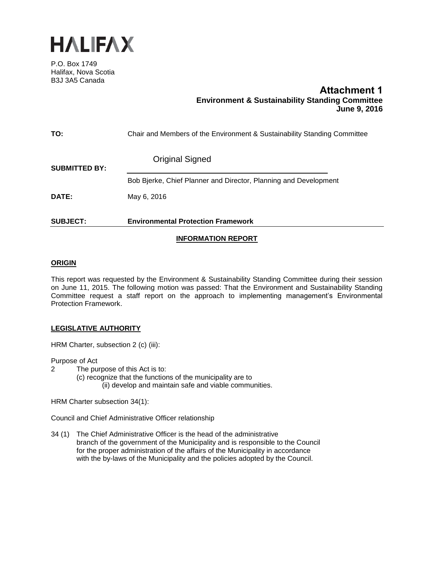

P.O. Box 1749 Halifax, Nova Scotia B3J 3A5 Canada

# **Attachment 1 Environment & Sustainability Standing Committee June 9, 2016**

| <b>SUBJECT:</b>      | <b>Environmental Protection Framework</b>                                |
|----------------------|--------------------------------------------------------------------------|
| <b>DATE:</b>         | May 6, 2016                                                              |
| <b>SUBMITTED BY:</b> | Bob Bjerke, Chief Planner and Director, Planning and Development         |
|                      | <b>Original Signed</b>                                                   |
| TO:                  | Chair and Members of the Environment & Sustainability Standing Committee |

## **INFORMATION REPORT**

#### **ORIGIN**

This report was requested by the Environment & Sustainability Standing Committee during their session on June 11, 2015. The following motion was passed: That the Environment and Sustainability Standing Committee request a staff report on the approach to implementing management's Environmental Protection Framework.

## **LEGISLATIVE AUTHORITY**

HRM Charter, subsection 2 (c) (iii):

Purpose of Act

- 2 The purpose of this Act is to:
	- (c) recognize that the functions of the municipality are to (ii) develop and maintain safe and viable communities.

HRM Charter subsection 34(1):

Council and Chief Administrative Officer relationship

34 (1) The Chief Administrative Officer is the head of the administrative branch of the government of the Municipality and is responsible to the Council for the proper administration of the affairs of the Municipality in accordance with the by-laws of the Municipality and the policies adopted by the Council.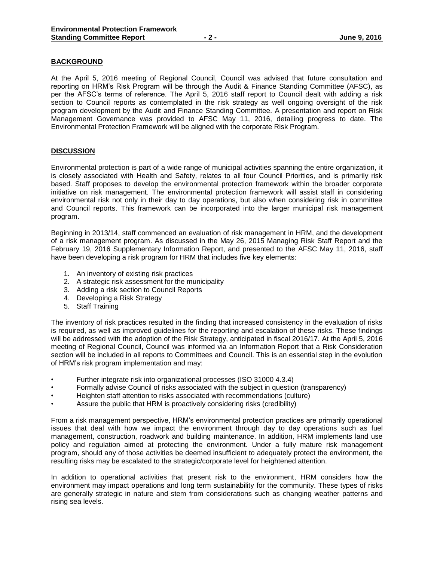#### **BACKGROUND**

At the April 5, 2016 meeting of Regional Council, Council was advised that future consultation and reporting on HRM's Risk Program will be through the Audit & Finance Standing Committee (AFSC), as per the AFSC's terms of reference. The April 5, 2016 staff report to Council dealt with adding a risk section to Council reports as contemplated in the risk strategy as well ongoing oversight of the risk program development by the Audit and Finance Standing Committee. A presentation and report on Risk Management Governance was provided to AFSC May 11, 2016, detailing progress to date. The Environmental Protection Framework will be aligned with the corporate Risk Program.

#### **DISCUSSION**

Environmental protection is part of a wide range of municipal activities spanning the entire organization, it is closely associated with Health and Safety, relates to all four Council Priorities, and is primarily risk based. Staff proposes to develop the environmental protection framework within the broader corporate initiative on risk management. The environmental protection framework will assist staff in considering environmental risk not only in their day to day operations, but also when considering risk in committee and Council reports. This framework can be incorporated into the larger municipal risk management program.

Beginning in 2013/14, staff commenced an evaluation of risk management in HRM, and the development of a risk management program. As discussed in the May 26, 2015 Managing Risk Staff Report and the February 19, 2016 Supplementary Information Report, and presented to the AFSC May 11, 2016, staff have been developing a risk program for HRM that includes five key elements:

- 1. An inventory of existing risk practices
- 2. A strategic risk assessment for the municipality
- 3. Adding a risk section to Council Reports
- 4. Developing a Risk Strategy
- 5. Staff Training

The inventory of risk practices resulted in the finding that increased consistency in the evaluation of risks is required, as well as improved guidelines for the reporting and escalation of these risks. These findings will be addressed with the adoption of the Risk Strategy, anticipated in fiscal 2016/17. At the April 5, 2016 meeting of Regional Council, Council was informed via an Information Report that a Risk Consideration section will be included in all reports to Committees and Council. This is an essential step in the evolution of HRM's risk program implementation and may:

- Further integrate risk into organizational processes (ISO 31000 4.3.4)
- Formally advise Council of risks associated with the subject in question (transparency)
- Heighten staff attention to risks associated with recommendations (culture)
- Assure the public that HRM is proactively considering risks (credibility)

From a risk management perspective, HRM's environmental protection practices are primarily operational issues that deal with how we impact the environment through day to day operations such as fuel management, construction, roadwork and building maintenance. In addition, HRM implements land use policy and regulation aimed at protecting the environment. Under a fully mature risk management program, should any of those activities be deemed insufficient to adequately protect the environment, the resulting risks may be escalated to the strategic/corporate level for heightened attention.

In addition to operational activities that present risk to the environment, HRM considers how the environment may impact operations and long term sustainability for the community. These types of risks are generally strategic in nature and stem from considerations such as changing weather patterns and rising sea levels.